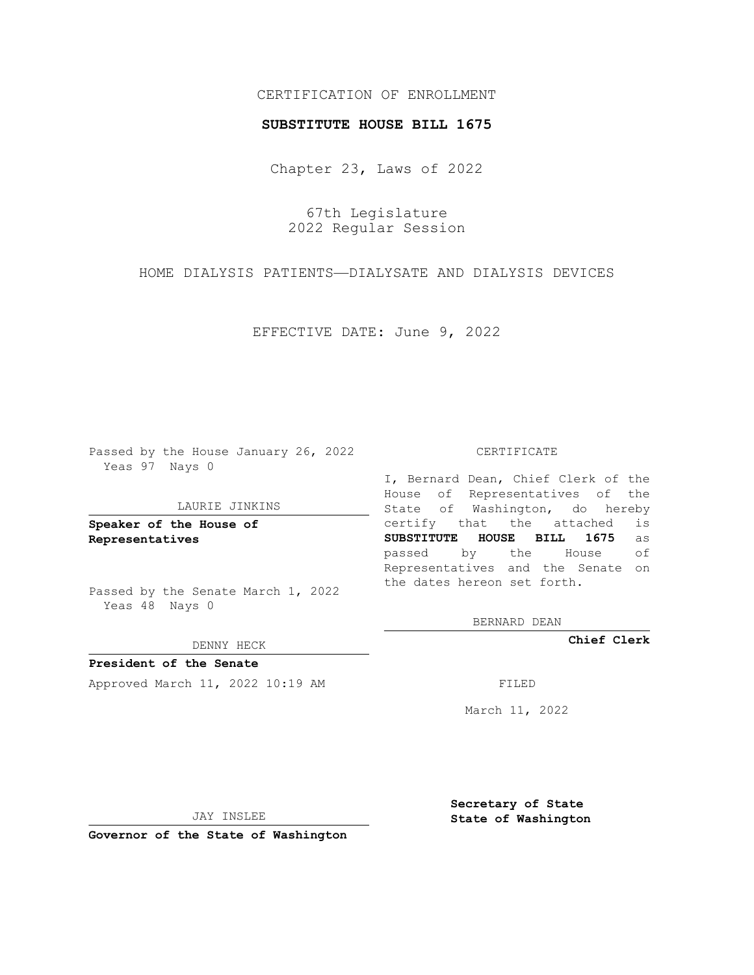# CERTIFICATION OF ENROLLMENT

### **SUBSTITUTE HOUSE BILL 1675**

Chapter 23, Laws of 2022

67th Legislature 2022 Regular Session

HOME DIALYSIS PATIENTS—DIALYSATE AND DIALYSIS DEVICES

EFFECTIVE DATE: June 9, 2022

Passed by the House January 26, 2022 Yeas 97 Nays 0

### LAURIE JINKINS

**Speaker of the House of Representatives**

Passed by the Senate March 1, 2022 Yeas 48 Nays 0

DENNY HECK

**President of the Senate** Approved March 11, 2022 10:19 AM FILED

#### CERTIFICATE

I, Bernard Dean, Chief Clerk of the House of Representatives of the State of Washington, do hereby certify that the attached is **SUBSTITUTE HOUSE BILL 1675** as passed by the House of Representatives and the Senate on the dates hereon set forth.

BERNARD DEAN

**Chief Clerk**

March 11, 2022

JAY INSLEE

**Governor of the State of Washington**

**Secretary of State State of Washington**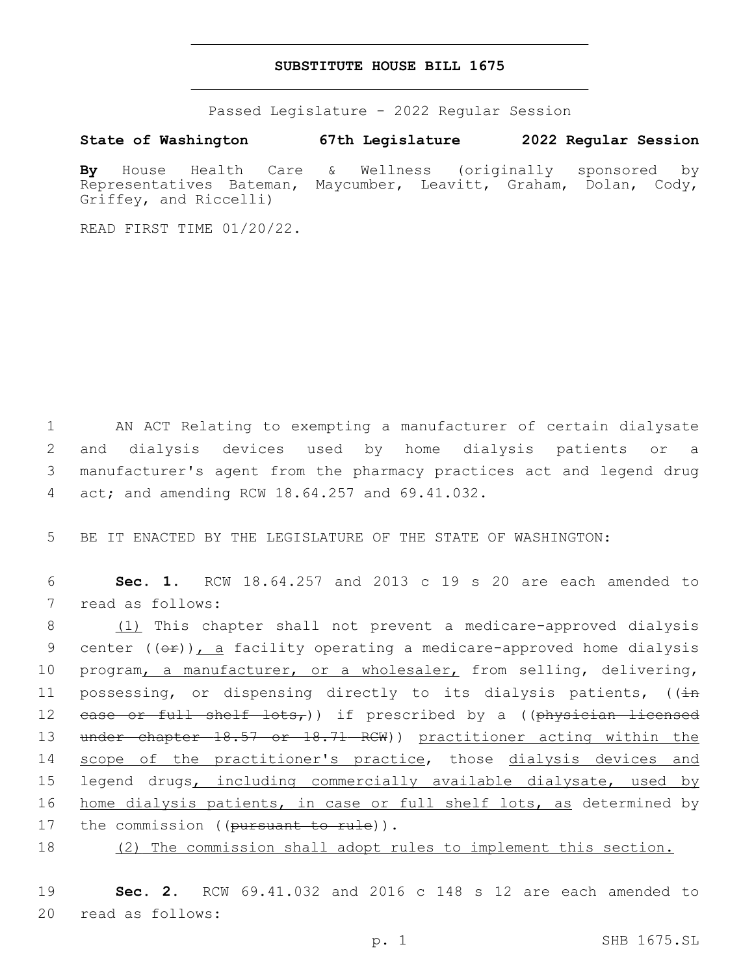## **SUBSTITUTE HOUSE BILL 1675**

Passed Legislature - 2022 Regular Session

**State of Washington 67th Legislature 2022 Regular Session**

**By** House Health Care & Wellness (originally sponsored by Representatives Bateman, Maycumber, Leavitt, Graham, Dolan, Cody, Griffey, and Riccelli)

READ FIRST TIME 01/20/22.

 AN ACT Relating to exempting a manufacturer of certain dialysate and dialysis devices used by home dialysis patients or a manufacturer's agent from the pharmacy practices act and legend drug 4 act; and amending RCW 18.64.257 and 69.41.032.

5 BE IT ENACTED BY THE LEGISLATURE OF THE STATE OF WASHINGTON:

6 **Sec. 1.** RCW 18.64.257 and 2013 c 19 s 20 are each amended to 7 read as follows:

8 (1) This chapter shall not prevent a medicare-approved dialysis 9 center  $((\theta \cdot \hat{r}))$ , a facility operating a medicare-approved home dialysis 10 program, a manufacturer, or a wholesaler, from selling, delivering, 11 possessing, or dispensing directly to its dialysis patients,  $((\frac{1}{2} + 1)^2)(x^2 + 1)^2 = 1$ 12 ease or full shelf lots,)) if prescribed by a ((physician licensed 13 under chapter 18.57 or 18.71 RCW)) practitioner acting within the 14 scope of the practitioner's practice, those dialysis devices and 15 legend drugs, including commercially available dialysate, used by 16 home dialysis patients, in case or full shelf lots, as determined by 17 the commission ((pursuant to rule)).

18 (2) The commission shall adopt rules to implement this section.

19 **Sec. 2.** RCW 69.41.032 and 2016 c 148 s 12 are each amended to 20 read as follows: